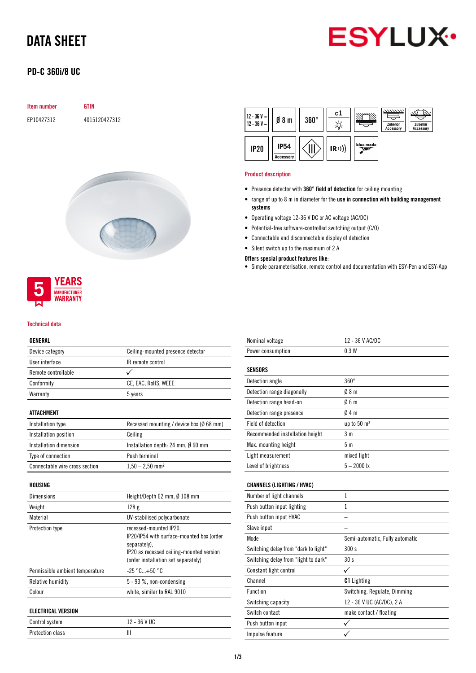# DATA SHEET



# PD-C 360i/8 UC

### Item number GTIN

EP10427312 4015120427312





#### Technical data

### GENERAL

| ---------           |                                                     |  |
|---------------------|-----------------------------------------------------|--|
| Device category     | Ceiling-mounted presence detector                   |  |
| User interface      | IR remote control                                   |  |
| Remote controllable |                                                     |  |
| Conformity          | CE, EAC, RoHS, WEEE                                 |  |
| Warranty            | 5 years                                             |  |
|                     |                                                     |  |
| <b>ATTACHMENT</b>   |                                                     |  |
| Installation type   | Recessed mounting / device box ( $\emptyset$ 68 mm) |  |
|                     |                                                     |  |

| Installation position          | Ceiling                                      |
|--------------------------------|----------------------------------------------|
| Installation dimension         | Installation depth: 24 mm, $\emptyset$ 60 mm |
| Type of connection             | Push terminal                                |
| Connectable wire cross section | $1,50 - 2,50$ mm <sup>2</sup>                |

### HOUSING

| <b>Dimensions</b>               | Height/Depth 62 mm, $\emptyset$ 108 mm                                                                                                                                 |  |
|---------------------------------|------------------------------------------------------------------------------------------------------------------------------------------------------------------------|--|
| Weight                          | 128 <sub>g</sub>                                                                                                                                                       |  |
| Material                        | UV-stabilised polycarbonate                                                                                                                                            |  |
| Protection type                 | recessed-mounted IP20,<br>IP20/IP54 with surface-mounted box (order<br>separately).<br>IP20 as recessed ceiling-mounted version<br>(order installation set separately) |  |
| Permissible ambient temperature | $-25$ °C $+50$ °C                                                                                                                                                      |  |
| Relative humidity               | $5 - 93$ %, non-condensing                                                                                                                                             |  |
| Colour                          | white, similar to RAL 9010                                                                                                                                             |  |
| ELECTRICAL VERSION              |                                                                                                                                                                        |  |
| Control system                  | 12 - 36 V UC                                                                                                                                                           |  |
|                                 |                                                                                                                                                                        |  |

Protection class III



#### Product description

- Presence detector with 360° field of detection for ceiling mounting
- range of up to 8 m in diameter for the use in connection with building management systems
- Operating voltage 12-36 V DC or AC voltage (AC/DC)
- Potential-free software-controlled switching output (C/O)
- Connectable and disconnectable display of detection
- Silent switch up to the maximum of 2 A

### Offers special product features like:

• Simple parameterisation, remote control and documentation with ESY-Pen and ESY-App

| Nominal voltage                      | 12 - 36 V AC/DC                 |  |  |
|--------------------------------------|---------------------------------|--|--|
| Power consumption                    | 0.3W                            |  |  |
| <b>SENSORS</b>                       |                                 |  |  |
| Detection angle                      | $360^\circ$                     |  |  |
| Detection range diagonally           | 08 <sub>m</sub>                 |  |  |
| Detection range head-on              | 06m                             |  |  |
| Detection range presence             | 04m                             |  |  |
| Field of detection                   | up to 50 m <sup>2</sup>         |  |  |
| Recommended installation height      | 3 <sub>m</sub>                  |  |  |
| Max. mounting height                 | 5 <sub>m</sub>                  |  |  |
| Light measurement                    | mixed light                     |  |  |
| Level of brightness                  | $5 - 2000$ lx                   |  |  |
| <b>CHANNELS (LIGHTING / HVAC)</b>    |                                 |  |  |
| Number of light channels             | 1                               |  |  |
| Push button input lighting           | 1                               |  |  |
| Push button input HVAC               |                                 |  |  |
| Slave input                          |                                 |  |  |
| Mode                                 | Semi-automatic, Fully automatic |  |  |
| Switching delay from "dark to light" | 300 s                           |  |  |
| Switching delay from "light to dark" | 30 <sub>s</sub>                 |  |  |
| Constant light control               | $\checkmark$                    |  |  |
| Channel                              | <b>C1</b> Lighting              |  |  |
| Function                             | Switching, Regulate, Dimming    |  |  |
| Switching capacity                   | 12 - 36 V UC (AC/DC), 2 A       |  |  |
| Switch contact                       | make contact / floating         |  |  |
| Push button input                    |                                 |  |  |
| Impulse feature                      |                                 |  |  |
|                                      |                                 |  |  |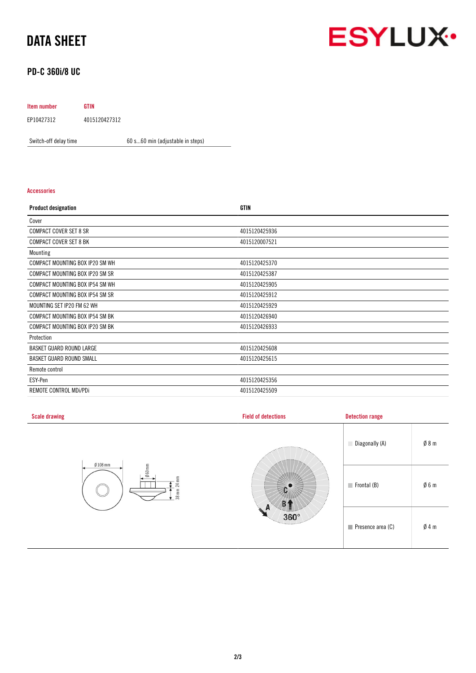# DATA SHEET

# **ESYLUX·**

# PD-C 360i/8 UC

## Item number GTIN EP10427312 4015120427312

Switch-off delay time 60 s...60 min (adjustable in steps)

### Accessories

| <b>Product designation</b>             | <b>GTIN</b>   |
|----------------------------------------|---------------|
| Cover                                  |               |
| <b>COMPACT COVER SET 8 SR</b>          | 4015120425936 |
| <b>COMPACT COVER SET 8 BK</b>          | 4015120007521 |
| Mounting                               |               |
| COMPACT MOUNTING BOX IP20 SM WH        | 4015120425370 |
| COMPACT MOUNTING BOX IP20 SM SR        | 4015120425387 |
| COMPACT MOUNTING BOX IP54 SM WH        | 4015120425905 |
| COMPACT MOUNTING BOX IP54 SM SR        | 4015120425912 |
| MOUNTING SET IP20 FM 62 WH             | 4015120425929 |
| <b>COMPACT MOUNTING BOX IP54 SM BK</b> | 4015120426940 |
| COMPACT MOUNTING BOX IP20 SM BK        | 4015120426933 |
| Protection                             |               |
| BASKET GUARD ROUND LARGE               | 4015120425608 |
| BASKET GUARD ROUND SMALL               | 4015120425615 |
| Remote control                         |               |
| ESY-Pen                                | 4015120425356 |
| REMOTE CONTROL MDI/PDI                 | 4015120425509 |

| <b>Scale drawing</b>                                        | <b>Field of detections</b>                 | <b>Detection range</b>     |                 |
|-------------------------------------------------------------|--------------------------------------------|----------------------------|-----------------|
| $Ø108$ mm<br>$\emptyset$ 60mm<br>$24 \text{ mm}$<br>$38$ mm |                                            | Diagonally (A)             | $\emptyset$ 8 m |
|                                                             |                                            | $\blacksquare$ Frontal (B) | $\emptyset$ 6 m |
|                                                             | A<br>n.<br>$360^\circ$<br><b>Territore</b> | Presence area (C)          | $\emptyset$ 4 m |